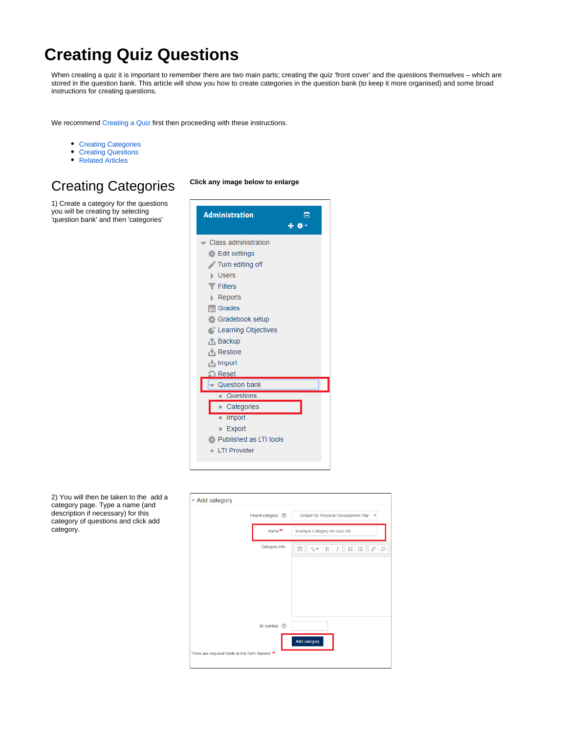# <span id="page-0-2"></span>**Creating Quiz Questions**

When creating a quiz it is important to remember there are two main parts; creating the quiz 'front cover' and the questions themselves – which are stored in the question bank. This article will show you how to create categories in the question bank (to keep it more organised) and some broad instructions for creating questions.

We recommend [Creating a Quiz](https://wiki.lte.strath.ac.uk/display/MS/Creating+a+Quiz) first then proceeding with these instructions.

- [Creating Categories](#page-0-0)
- [Creating Questions](#page-0-1)
- [Related Articles](#page-2-0)

### <span id="page-0-0"></span>Creating Categories **Click any image below to enlarge**

1) Create a category for the questions you will be creating by selecting 'question bank' and then 'categories'



<span id="page-0-1"></span>2) You will then be taken to the add a category page. Type a name (and description if necessary) for this category of questions and click add category.

| - Add category                                      |                              |                                                                          |  |
|-----------------------------------------------------|------------------------------|--------------------------------------------------------------------------|--|
|                                                     | Parent category <sup>7</sup> | Default for Personal Development Plan<br>$\boldsymbol{\mathrm{v}}$       |  |
|                                                     | Name <sup>**</sup>           | Example Category for Quiz 4/6                                            |  |
|                                                     | Category info                | 辷<br>恣<br>E.<br>ìΞ<br>$\bar{\mathcal{S}}$<br>$A_A \rightarrow$<br>B<br>I |  |
|                                                     |                              |                                                                          |  |
|                                                     |                              |                                                                          |  |
|                                                     |                              |                                                                          |  |
|                                                     | ID number (2)                |                                                                          |  |
|                                                     |                              | Add category                                                             |  |
| There are required fields in this form marked $*$ . |                              |                                                                          |  |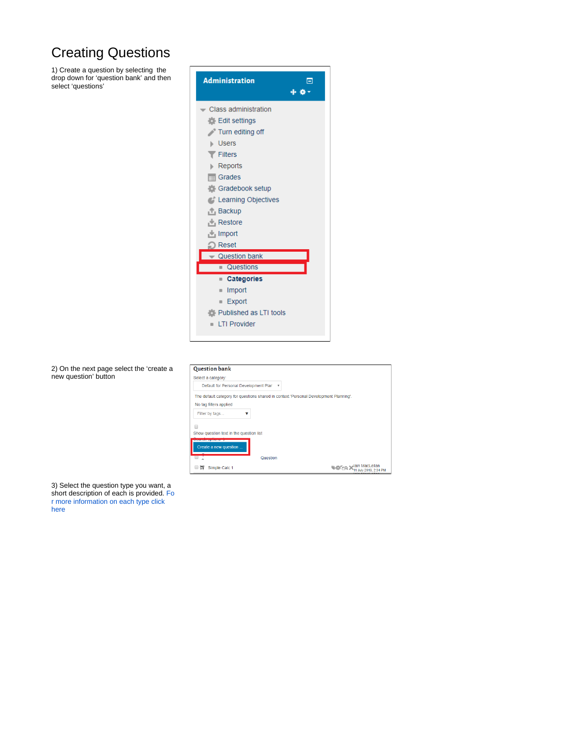## Creating Questions

1) Create a question by selecting the drop down for 'question bank' and then select 'questions'



2) On the next page select the 'create a new question' button

| <b>Question bank</b>                                                                  |              |
|---------------------------------------------------------------------------------------|--------------|
| Select a category:                                                                    |              |
| Default for Personal Development Plar<br>۳                                            |              |
| The default category for questions shared in context 'Personal Development Planning'. |              |
| No tag filters applied                                                                |              |
| Filter by tags                                                                        |              |
| m                                                                                     |              |
| Show question text in the question list                                               |              |
| Create a new question                                                                 |              |
| Question                                                                              |              |
| 252<br>Simple Calc 1                                                                  | <b>34 PM</b> |

3) Select the question type you want, a short description of each is provided. [Fo](https://wiki.lte.strath.ac.uk/display/MS/Quiz+Question+Types) [r more information on each type click](https://wiki.lte.strath.ac.uk/display/MS/Quiz+Question+Types)  [here](https://wiki.lte.strath.ac.uk/display/MS/Quiz+Question+Types)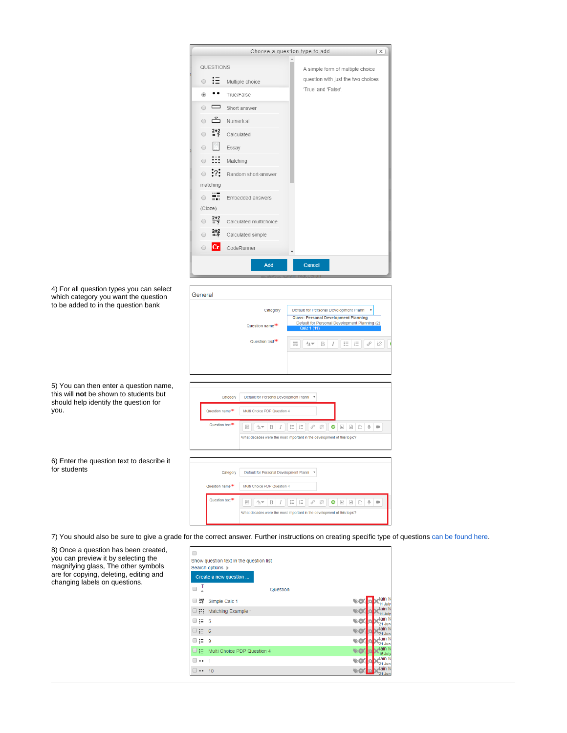|                                                                                                                           | Choose a question type to add<br>$\times$                                                                                                                                                                                                                                                                                                                        |
|---------------------------------------------------------------------------------------------------------------------------|------------------------------------------------------------------------------------------------------------------------------------------------------------------------------------------------------------------------------------------------------------------------------------------------------------------------------------------------------------------|
|                                                                                                                           | QUESTIONS<br>A simple form of multiple choice                                                                                                                                                                                                                                                                                                                    |
|                                                                                                                           | question with just the two choices<br>Multiple choice                                                                                                                                                                                                                                                                                                            |
|                                                                                                                           | 'True' and 'False'.<br>True/False                                                                                                                                                                                                                                                                                                                                |
|                                                                                                                           | Short answer                                                                                                                                                                                                                                                                                                                                                     |
|                                                                                                                           | $\frac{12}{2}$<br>Numerical<br>$\bigcirc$                                                                                                                                                                                                                                                                                                                        |
|                                                                                                                           | $2 + 2$<br>Calculated<br>0                                                                                                                                                                                                                                                                                                                                       |
|                                                                                                                           | Essay                                                                                                                                                                                                                                                                                                                                                            |
|                                                                                                                           | Matching                                                                                                                                                                                                                                                                                                                                                         |
|                                                                                                                           | Random short-answer                                                                                                                                                                                                                                                                                                                                              |
|                                                                                                                           | matching                                                                                                                                                                                                                                                                                                                                                         |
|                                                                                                                           | Embedded answers<br>$\bigcirc$                                                                                                                                                                                                                                                                                                                                   |
|                                                                                                                           | (Cloze)                                                                                                                                                                                                                                                                                                                                                          |
|                                                                                                                           | $\frac{2+2}{2}$<br>Calculated multichoice<br>$\circ$                                                                                                                                                                                                                                                                                                             |
|                                                                                                                           | Calculated simple                                                                                                                                                                                                                                                                                                                                                |
|                                                                                                                           | CodeRunner<br>∩                                                                                                                                                                                                                                                                                                                                                  |
|                                                                                                                           | Add<br>Cancel<br>General                                                                                                                                                                                                                                                                                                                                         |
| 4) For all question types you can select<br>which category you want the question<br>to be added to in the question bank   | Category<br>Default for Personal Development Planni v<br><b>Class: Personal Development Planning</b><br>Default for Personal Development Planning (2)<br>Question name<br>Quiz 1 $(11)$<br>Question text <sup>**</sup><br>8<br>恣<br>E<br>三 旧<br>$A_A \blacktriangleright$<br>B<br>$\overline{I}$                                                                 |
|                                                                                                                           | Category<br>Default for Personal Development Planni v                                                                                                                                                                                                                                                                                                            |
|                                                                                                                           | Question name <sup>**</sup><br>Multi Choice PDP Question 4                                                                                                                                                                                                                                                                                                       |
| 5) You can then enter a question name,<br>this will not be shown to students but<br>should help identify the question for | Question text <sup>*</sup><br>$\begin{array}{c} \mathcal{S} \\ \mathcal{S} \end{array}$<br>$\bullet$ $\mathbb{E}$<br>B<br>三 日<br>$\begin{array}{c c} \mathbb{R}^n & \mathbb{R}^n \end{array}$<br>$\frac{1}{2}$<br>$A_{\underline{A}}$<br>$\mathbf{\Phi}$<br>$\blacksquare$<br>$\cal I$<br>What decades were the most important in the development of this topic? |
| 6) Enter the question text to describe it                                                                                 | Category<br>Default for Personal Development Planni v                                                                                                                                                                                                                                                                                                            |
|                                                                                                                           | Question name <sup>**</sup><br>Multi Choice PDP Question 4                                                                                                                                                                                                                                                                                                       |

b give a grade for the correct answer. Further instructions on creating specific type of questions [can be found here](https://docs.moodle.org/34/en/Question_types).

<span id="page-2-0"></span>

| 8) Once a question has been created,<br>you can preview it by selecting the<br>magnifying glass, The other symbols<br>are for copying, deleting, editing and<br>changing labels on questions. | □<br>Show question text in the question list<br>Search options $\blacktriangleright$<br>Create a new question |                             |                  |
|-----------------------------------------------------------------------------------------------------------------------------------------------------------------------------------------------|---------------------------------------------------------------------------------------------------------------|-----------------------------|------------------|
|                                                                                                                                                                                               | $\Box$                                                                                                        | Question                    |                  |
|                                                                                                                                                                                               | $\Box$ 2*2<br>Simple Calc 1                                                                                   |                             | lain             |
|                                                                                                                                                                                               | 988 €<br>Matching Example 1                                                                                   |                             | lain<br>11 July  |
|                                                                                                                                                                                               | $\Box \equiv 5$                                                                                               |                             | lain<br>21 Jun   |
|                                                                                                                                                                                               | $\Box \equiv 6$                                                                                               |                             | lain N<br>21 Jun |
|                                                                                                                                                                                               | $\Box$ := 9                                                                                                   |                             | Hain N<br>21 Jun |
|                                                                                                                                                                                               | œ.                                                                                                            | Multi Choice PDP Question 4 | lain             |
|                                                                                                                                                                                               | □ ⊷                                                                                                           |                             |                  |
|                                                                                                                                                                                               | $\Box \cdots 10$                                                                                              |                             | lain N           |